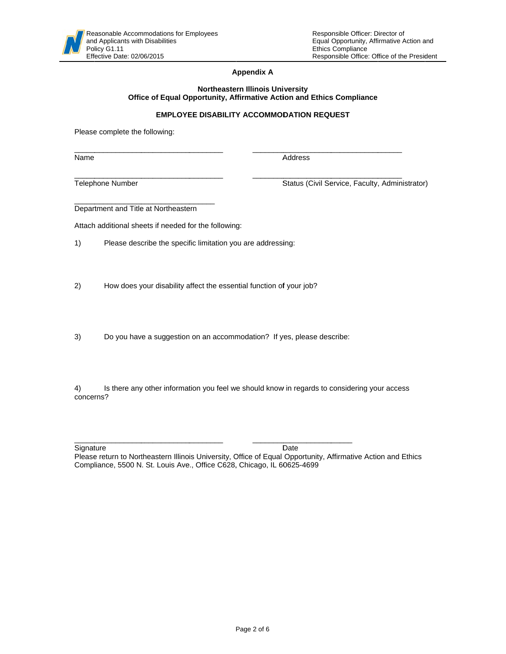### **Appendix A**

#### **Northeastern Illinois University** Office of Equal Opportunity, Affirmative Action and Ethics Compliance

### **EMPLOYEE DISABILITY ACCOMMODATION REQUEST**

Please complete the following:

Name

Address

Telephone Number

Status (Civil Service, Faculty, Administrator)

Department and Title at Northeastern

Attach additional sheets if needed for the following:

 $1)$ Please describe the specific limitation you are addressing:

 $2)$ How does your disability affect the essential function of your job?

 $3)$ Do you have a suggestion on an accommodation? If yes, please describe:

 $4)$ Is there any other information you feel we should know in regards to considering your access concerns?

Signature

Date

Please return to Northeastern Illinois University, Office of Equal Opportunity, Affirmative Action and Ethics Compliance, 5500 N. St. Louis Ave., Office C628, Chicago, IL 60625-4699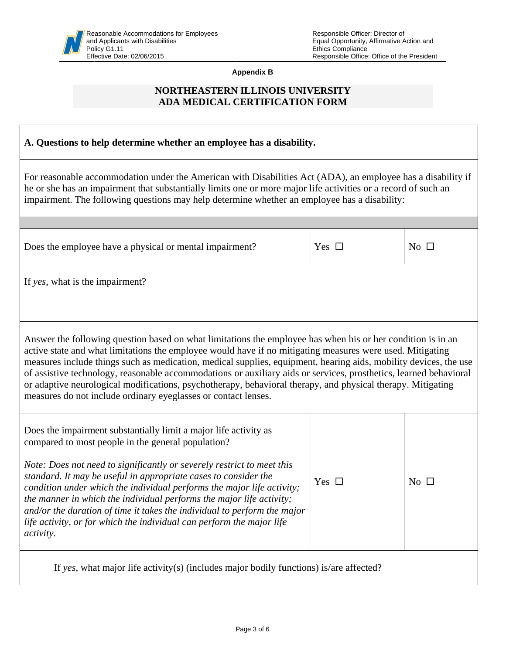**Appendix B** 

# NORTHEASTERN ILLINOIS UNIVERSITY ADA MEDICAL CERTIFICATION FORM

| A. Questions to help determine whether an employee has a disability.                                                                                                                                                                                                                                                                                                                                                                                                                                                                                                                                                                               |            |                 |  |  |
|----------------------------------------------------------------------------------------------------------------------------------------------------------------------------------------------------------------------------------------------------------------------------------------------------------------------------------------------------------------------------------------------------------------------------------------------------------------------------------------------------------------------------------------------------------------------------------------------------------------------------------------------------|------------|-----------------|--|--|
| For reasonable accommodation under the American with Disabilities Act (ADA), an employee has a disability if<br>he or she has an impairment that substantially limits one or more major life activities or a record of such an<br>impairment. The following questions may help determine whether an employee has a disability:                                                                                                                                                                                                                                                                                                                     |            |                 |  |  |
|                                                                                                                                                                                                                                                                                                                                                                                                                                                                                                                                                                                                                                                    |            |                 |  |  |
| Does the employee have a physical or mental impairment?                                                                                                                                                                                                                                                                                                                                                                                                                                                                                                                                                                                            | Yes $\Box$ | $\rm No$ $\Box$ |  |  |
| If yes, what is the impairment?                                                                                                                                                                                                                                                                                                                                                                                                                                                                                                                                                                                                                    |            |                 |  |  |
| Answer the following question based on what limitations the employee has when his or her condition is in an<br>active state and what limitations the employee would have if no mitigating measures were used. Mitigating<br>measures include things such as medication, medical supplies, equipment, hearing aids, mobility devices, the use<br>of assistive technology, reasonable accommodations or auxiliary aids or services, prosthetics, learned behavioral<br>or adaptive neurological modifications, psychotherapy, behavioral therapy, and physical therapy. Mitigating<br>measures do not include ordinary eyeglasses or contact lenses. |            |                 |  |  |
| Does the impairment substantially limit a major life activity as<br>compared to most people in the general population?<br>Note: Does not need to significantly or severely restrict to meet this<br>standard. It may be useful in appropriate cases to consider the<br>condition under which the individual performs the major life activity;<br>the manner in which the individual performs the major life activity;<br>and/or the duration of time it takes the individual to perform the major<br>life activity, or for which the individual can perform the major life<br><i>activity.</i>                                                     | Yes $\Box$ | No $\square$    |  |  |
| If yes, what major life activity(s) (includes major bodily functions) is/are affected?                                                                                                                                                                                                                                                                                                                                                                                                                                                                                                                                                             |            |                 |  |  |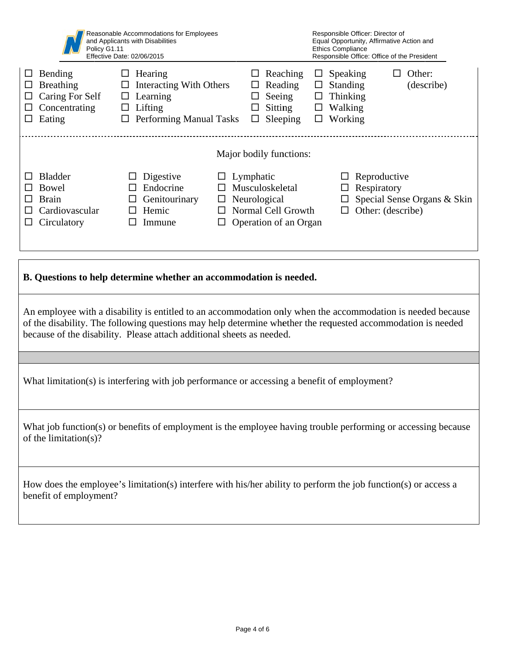| Reasonable Accommodations for Employees<br>and Applicants with Disabilities<br>Policy G1.11<br>Effective Date: 02/06/2015                                                                                                                                                                           |                                                                                                                                            | Responsible Officer: Director of<br>Equal Opportunity, Affirmative Action and<br><b>Ethics Compliance</b><br>Responsible Office: Office of the President                                                                                   |                                                                                           |                                |  |
|-----------------------------------------------------------------------------------------------------------------------------------------------------------------------------------------------------------------------------------------------------------------------------------------------------|--------------------------------------------------------------------------------------------------------------------------------------------|--------------------------------------------------------------------------------------------------------------------------------------------------------------------------------------------------------------------------------------------|-------------------------------------------------------------------------------------------|--------------------------------|--|
| Bending<br>$\Box$<br>Breathing<br>□<br>Caring For Self<br>$\Box$<br>Concentrating<br>Eating<br>$\Box$                                                                                                                                                                                               | $\Box$ Hearing<br><b>Interacting With Others</b><br>$\Box$<br>$\Box$ Learning<br>$\Box$ Lifting<br>$\hfill\Box$<br>Performing Manual Tasks | Reaching<br>Reading<br>Seeing<br>$\Box$<br>Sitting<br>Sleeping<br>$\Box$                                                                                                                                                                   | $\Box$ Speaking<br>$\Box$ Standing<br>$\Box$ Thinking<br>$\Box$ Walking<br>$\Box$ Working | Other:<br>$\Box$<br>(describe) |  |
| Major bodily functions:                                                                                                                                                                                                                                                                             |                                                                                                                                            |                                                                                                                                                                                                                                            |                                                                                           |                                |  |
| <b>Bladder</b><br>ப<br>Bowel<br>ப<br><b>Brain</b><br>ப<br>Cardiovascular<br>ΙI<br>Circulatory<br>ப                                                                                                                                                                                                  | Digestive<br>ப<br>Endocrine<br>ப<br>Genitourinary<br>□<br>$\Box$ Hemic<br>Immune<br>$\Box$                                                 | $\Box$ Lymphatic<br>Reproductive<br>ப<br>$\Box$ Musculoskeletal<br>Respiratory<br>$\Box$<br>Special Sense Organs & Skin<br>$\Box$ Neurological<br>$\Box$<br>$\Box$ Other: (describe)<br>$\Box$ Normal Cell Growth<br>Operation of an Organ |                                                                                           |                                |  |
|                                                                                                                                                                                                                                                                                                     |                                                                                                                                            |                                                                                                                                                                                                                                            |                                                                                           |                                |  |
| B. Questions to help determine whether an accommodation is needed.                                                                                                                                                                                                                                  |                                                                                                                                            |                                                                                                                                                                                                                                            |                                                                                           |                                |  |
| An employee with a disability is entitled to an accommodation only when the accommodation is needed because<br>of the disability. The following questions may help determine whether the requested accommodation is needed<br>because of the disability. Please attach additional sheets as needed. |                                                                                                                                            |                                                                                                                                                                                                                                            |                                                                                           |                                |  |
|                                                                                                                                                                                                                                                                                                     |                                                                                                                                            |                                                                                                                                                                                                                                            |                                                                                           |                                |  |
| What limitation(s) is interfering with job performance or accessing a benefit of employment?                                                                                                                                                                                                        |                                                                                                                                            |                                                                                                                                                                                                                                            |                                                                                           |                                |  |
| What job function(s) or benefits of employment is the employee having trouble performing or accessing because<br>of the limitation(s)?                                                                                                                                                              |                                                                                                                                            |                                                                                                                                                                                                                                            |                                                                                           |                                |  |

How does the employee's limitation(s) interfere with his/her ability to perform the job function(s) or access a benefit of employment?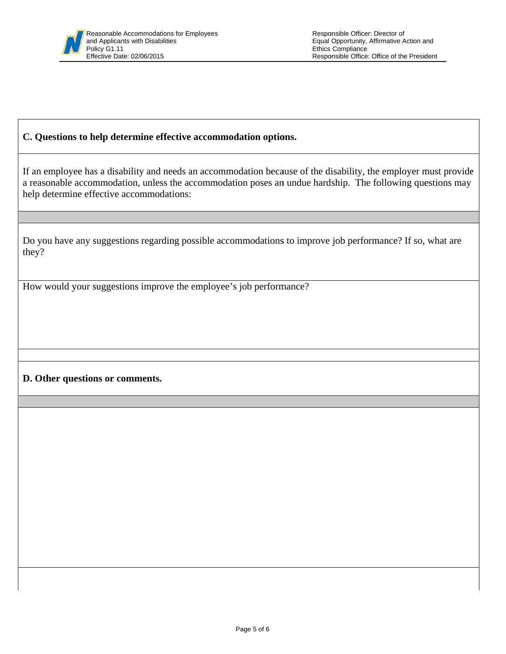## C. Questions to help determine effective accommodation options.

If an employee has a disability and needs an accommodation because of the disability, the employer must provide a reasonable accommodation, unless the accommodation poses an undue hardship. The following questions may help determine effective accommodations:

Do you have any suggestions regarding possible accommodations to improve job performance? If so, what are they?

How would your suggestions improve the employee's job performance?

# D. Other questions or comments.